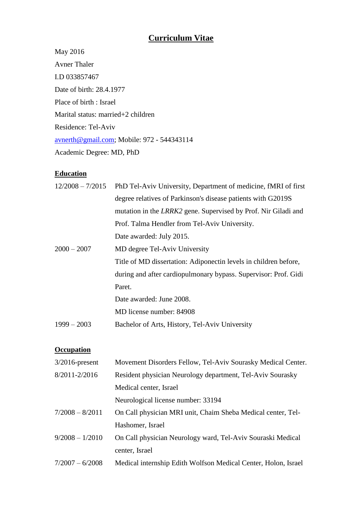# **Curriculum Vitae**

May 2016 Avner Thaler I.D 033857467 Date of birth: 28.4.1977 Place of birth : Israel Marital status: married+2 children Residence: Tel-Aviv [avnerth@gmail.com;](mailto:avnerth@gmail.com) Mobile: 972 - 544343114 Academic Degree: MD, PhD

#### **Education**

| $12/2008 - 7/2015$ | PhD Tel-Aviv University, Department of medicine, fMRI of first        |  |
|--------------------|-----------------------------------------------------------------------|--|
|                    | degree relatives of Parkinson's disease patients with G2019S          |  |
|                    | mutation in the <i>LRRK2</i> gene. Supervised by Prof. Nir Giladi and |  |
|                    | Prof. Talma Hendler from Tel-Aviv University.                         |  |
|                    | Date awarded: July 2015.                                              |  |
| $2000 - 2007$      | MD degree Tel-Aviv University                                         |  |
|                    | Title of MD dissertation: Adiponectin levels in children before,      |  |
|                    | during and after cardiopulmonary bypass. Supervisor: Prof. Gidi       |  |
|                    | Paret.                                                                |  |
|                    | Date awarded: June 2008.                                              |  |
|                    | MD license number: 84908                                              |  |
| $1999 - 2003$      | Bachelor of Arts, History, Tel-Aviv University                        |  |
|                    |                                                                       |  |

## **Occupation**

| $3/2016$ -present | Movement Disorders Fellow, Tel-Aviv Sourasky Medical Center.   |
|-------------------|----------------------------------------------------------------|
| 8/2011-2/2016     | Resident physician Neurology department, Tel-Aviv Sourasky     |
|                   | Medical center, Israel                                         |
|                   | Neurological license number: 33194                             |
| $7/2008 - 8/2011$ | On Call physician MRI unit, Chaim Sheba Medical center, Tel-   |
|                   | Hashomer, Israel                                               |
| $9/2008 - 1/2010$ | On Call physician Neurology ward, Tel-Aviv Souraski Medical    |
|                   | center, Israel                                                 |
| $7/2007 - 6/2008$ | Medical internship Edith Wolfson Medical Center, Holon, Israel |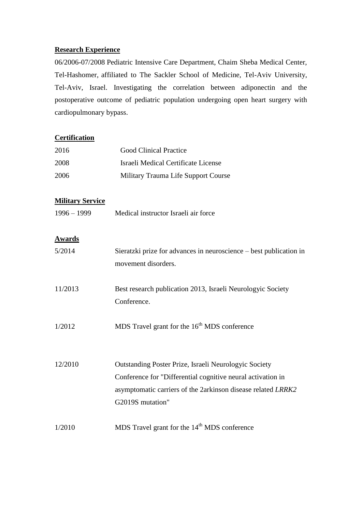#### **Research Experience**

06/2006-07/2008 Pediatric Intensive Care Department, Chaim Sheba Medical Center, Tel-Hashomer, affiliated to The Sackler School of Medicine, Tel-Aviv University, Tel-Aviv, Israel. Investigating the correlation between adiponectin and the postoperative outcome of pediatric population undergoing open heart surgery with cardiopulmonary bypass.

# **Certification**

| 2016                    | <b>Good Clinical Practice</b>                                                                                               |  |
|-------------------------|-----------------------------------------------------------------------------------------------------------------------------|--|
| 2008                    | <b>Israeli Medical Certificate License</b>                                                                                  |  |
| 2006                    | Military Trauma Life Support Course                                                                                         |  |
| <b>Military Service</b> |                                                                                                                             |  |
| $1996 - 1999$           | Medical instructor Israeli air force                                                                                        |  |
| <u>Awards</u>           |                                                                                                                             |  |
| 5/2014                  | Sieratzki prize for advances in neuroscience – best publication in                                                          |  |
|                         | movement disorders.                                                                                                         |  |
| 11/2013                 | Best research publication 2013, Israeli Neurologyic Society                                                                 |  |
|                         | Conference.                                                                                                                 |  |
| 1/2012                  | MDS Travel grant for the 16 <sup>th</sup> MDS conference                                                                    |  |
|                         |                                                                                                                             |  |
| 12/2010                 | Outstanding Poster Prize, Israeli Neurologyic Society                                                                       |  |
|                         | Conference for "Differential cognitive neural activation in<br>asymptomatic carriers of the 2arkinson disease related LRRK2 |  |
|                         | G2019S mutation"                                                                                                            |  |
|                         |                                                                                                                             |  |

 $1/2010$  MDS Travel grant for the  $14<sup>th</sup>$  MDS conference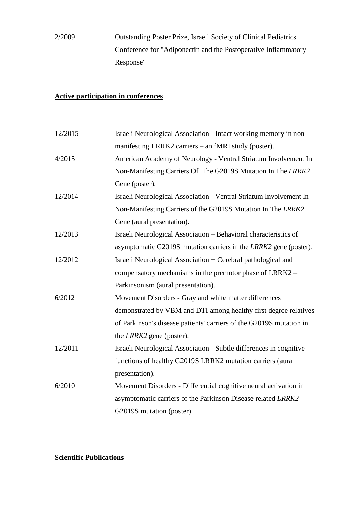2/2009 Outstanding Poster Prize, Israeli Society of Clinical Pediatrics Conference for "Adiponectin and the Postoperative Inflammatory Response"

## **Active participation in conferences**

| 12/2015 | Israeli Neurological Association - Intact working memory in non-    |
|---------|---------------------------------------------------------------------|
|         | manifesting LRRK2 carriers – an fMRI study (poster).                |
| 4/2015  | American Academy of Neurology - Ventral Striatum Involvement In     |
|         | Non-Manifesting Carriers Of The G2019S Mutation In The LRRK2        |
|         | Gene (poster).                                                      |
| 12/2014 | Israeli Neurological Association - Ventral Striatum Involvement In  |
|         | Non-Manifesting Carriers of the G2019S Mutation In The LRRK2        |
|         | Gene (aural presentation).                                          |
| 12/2013 | Israeli Neurological Association - Behavioral characteristics of    |
|         | asymptomatic G2019S mutation carriers in the LRRK2 gene (poster).   |
| 12/2012 | Israeli Neurological Association - Cerebral pathological and        |
|         | compensatory mechanisms in the premotor phase of LRRK2 –            |
|         | Parkinsonism (aural presentation).                                  |
| 6/2012  | Movement Disorders - Gray and white matter differences              |
|         | demonstrated by VBM and DTI among healthy first degree relatives    |
|         | of Parkinson's disease patients' carriers of the G2019S mutation in |
|         | the <i>LRRK2</i> gene (poster).                                     |
| 12/2011 | Israeli Neurological Association - Subtle differences in cognitive  |
|         | functions of healthy G2019S LRRK2 mutation carriers (aural          |
|         | presentation).                                                      |
| 6/2010  | Movement Disorders - Differential cognitive neural activation in    |
|         | asymptomatic carriers of the Parkinson Disease related LRRK2        |
|         | G2019S mutation (poster).                                           |

# **Scientific Publications**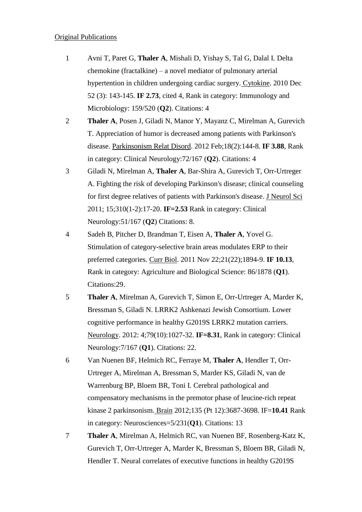#### Original Publications

- 1 Avni T, Paret G, **Thaler A**, Mishali D, Yishay S, Tal G, Dalal I. Delta chemokine (fractalkine) – a novel mediator of pulmonary arterial hypertention in children undergoing cardiac surgery. Cytokine. 2010 Dec 52 (3): 143-145. **IF 2.73**, cited 4, Rank in category: Immunology and Microbiology: 159/520 (**Q2**). Citations: 4
- 2 **Thaler A**, Posen J, Giladi N, Manor Y, Mayanz C, Mirelman A, Gurevich T. Appreciation of humor is decreased among patients with Parkinson's disease. Parkinsonism Relat Disord. 2012 Feb;18(2):144-8. **IF 3.88**, Rank in category: Clinical Neurology:72/167 (**Q2**). Citations: 4
- 3 Giladi N, Mirelman A, **Thaler A**, Bar-Shira A, Gurevich T, Orr-Urtreger A. Fighting the risk of developing Parkinson's disease; clinical counseling for first degree relatives of patients with Parkinson's disease. J Neurol Sci 2011; 15;310(1-2):17-20. **IF=2.53** Rank in category: Clinical Neurology:51/167 (**Q2**) Citations: 8.
- 4 Sadeh B, Pitcher D, Brandman T, Eisen A, **Thaler A**, Yovel G. Stimulation of category-selective brain areas modulates ERP to their preferred categories. Curr Biol. 2011 Nov 22;21(22);1894-9. **IF 10.13**, Rank in category: Agriculture and Biological Science: 86/1878 (**Q1**). Citations:29.
- 5 **Thaler A**, Mirelman A, Gurevich T, Simon E, Orr-Urtreger A, Marder K, Bressman S, Giladi N. LRRK2 Ashkenazi Jewish Consortium. Lower cognitive performance in healthy G2019S LRRK2 mutation carriers. Neurology. 2012: 4;79(10):1027-32. **IF=8.31**, Rank in category: Clinical Neurology:7/167 (**Q1**). Citations: 22.
- 6 Van Nuenen BF, Helmich RC, Ferraye M, **Thaler A**, Hendler T, Orr-Urtreger A, Mirelman A, Bressman S, Marder KS, Giladi N, van de Warrenburg BP, Bloem BR, Toni I. Cerebral pathological and compensatory mechanisms in the premotor phase of leucine-rich repeat kinase 2 parkinsonism. Brain 2012;135 (Pt 12):3687-3698. IF=**10.41** Rank in category: Neurosciences=5/231(**Q1**). Citations: 13
- 7 **Thaler A**, Mirelman A, Helmich RC, van Nuenen BF, Rosenberg-Katz K, Gurevich T, Orr-Urtreger A, Marder K, Bressman S, Bloem BR, Giladi N, Hendler T. Neural correlates of executive functions in healthy G2019S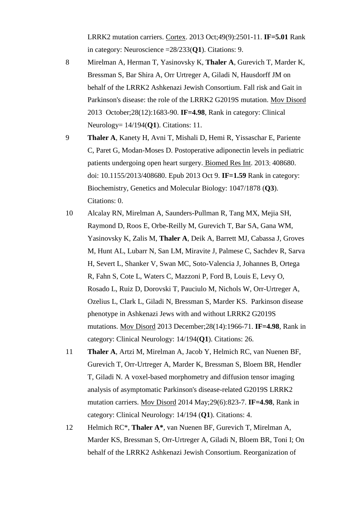LRRK2 mutation carriers. Cortex. 2013 Oct;49(9):2501-11. **IF=5.01** Rank in category: Neuroscience =28/233(**Q1**). Citations: 9.

- 8 Mirelman A, Herman T, Yasinovsky K, **Thaler A**, Gurevich T, Marder K, Bressman S, Bar Shira A, Orr Urtreger A, Giladi N, Hausdorff JM on behalf of the LRRK2 Ashkenazi Jewish Consortium. Fall risk and Gait in Parkinson's disease: the role of the LRRK2 G2019S mutation. Mov Disord 2013 October;28(12):1683-90. **IF=4.98**, Rank in category: Clinical Neurology= 14/194(**Q1**). Citations: 11.
- 9 **Thaler A**, Kanety H, Avni T, Mishali D, Hemi R, Yissaschar E, Pariente C, Paret G, Modan-Moses D. Postoperative adiponectin levels in pediatric patients undergoing open heart surgery. Biomed Res Int. 2013; 408680. doi: 10.1155/2013/408680. Epub 2013 Oct 9. **IF=1.59** Rank in category: Biochemistry, Genetics and Molecular Biology: 1047/1878 (**Q3**). Citations: 0.
- 10 Alcalay RN, Mirelman A, Saunders-Pullman R, Tang MX, Mejia SH, Raymond D, Roos E, Orbe-Reilly M, Gurevich T, Bar SA, Gana WM, Yasinovsky K, Zalis M, **Thaler A**, Deik A, Barrett MJ, Cabassa J, Groves M, Hunt AL, Lubarr N, San LM, Miravite J, Palmese C, Sachdev R, Sarva H, Severt L, Shanker V, Swan MC, Soto-Valencia J, Johannes B, Ortega R, Fahn S, Cote L, Waters C, Mazzoni P, Ford B, Louis E, Levy O, Rosado L, Ruiz D, Dorovski T, Pauciulo M, Nichols W, Orr-Urtreger A, Ozelius L, Clark L, Giladi N, Bressman S, Marder KS. Parkinson disease phenotype in Ashkenazi Jews with and without LRRK2 G2019S mutations. Mov Disord 2013 December;28(14):1966-71. **IF=4.98**, Rank in category: Clinical Neurology: 14/194(**Q1**). Citations: 26.
- 11 **Thaler A**, Artzi M, Mirelman A, Jacob Y, Helmich RC, van Nuenen BF, Gurevich T, Orr-Urtreger A, Marder K, Bressman S, Bloem BR, Hendler T, Giladi N. A voxel-based morphometry and diffusion tensor imaging analysis of asymptomatic Parkinson's disease-related G2019S LRRK2 mutation carriers. Mov Disord 2014 May;29(6):823-7. **IF=4.98**, Rank in category: Clinical Neurology: 14/194 (**Q1**). Citations: 4.
- 12 Helmich RC\*, **Thaler A\***, van Nuenen BF, Gurevich T, Mirelman A, Marder KS, Bressman S, Orr-Urtreger A, Giladi N, Bloem BR, Toni I; On behalf of the LRRK2 Ashkenazi Jewish Consortium. Reorganization of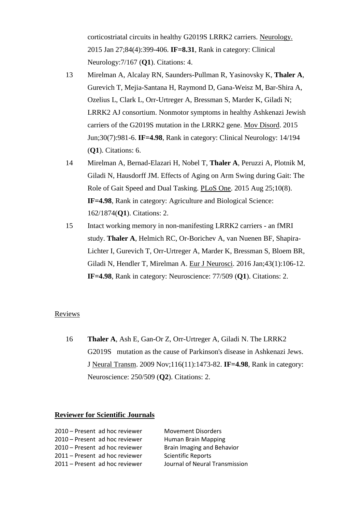corticostriatal circuits in healthy G2019S LRRK2 carriers. Neurology. 2015 Jan 27;84(4):399-406. **IF=8.31**, Rank in category: Clinical Neurology:7/167 (**Q1**). Citations: 4.

- 13 Mirelman A, Alcalay RN, Saunders-Pullman R, Yasinovsky K, **Thaler A**, Gurevich T, Mejia-Santana H, Raymond D, Gana-Weisz M, Bar-Shira A, Ozelius L, Clark L, Orr-Urtreger A, Bressman S, Marder K, Giladi N; LRRK2 AJ consortium. Nonmotor symptoms in healthy Ashkenazi Jewish carriers of the G2019S mutation in the LRRK2 gene. Mov Disord. 2015 Jun;30(7):981-6. **IF=4.98**, Rank in category: Clinical Neurology: 14/194 (**Q1**). Citations: 6.
- 14 Mirelman A, Bernad-Elazari H, Nobel T, **Thaler A**, Peruzzi A, Plotnik M, Giladi N, Hausdorff JM. Effects of Aging on Arm Swing during Gait: The Role of Gait Speed and Dual Tasking. PLoS One. 2015 Aug 25;10(8). **IF=4.98**, Rank in category: Agriculture and Biological Science: 162/1874(**Q1**). Citations: 2.
- 15 Intact working memory in non-manifesting LRRK2 carriers an fMRI study. **Thaler A**, Helmich RC, Or-Borichev A, van Nuenen BF, Shapira-Lichter I, Gurevich T, Orr-Urtreger A, Marder K, Bressman S, Bloem BR, Giladi N, Hendler T, Mirelman A. Eur J Neurosci. 2016 Jan;43(1):106-12. **IF=4.98**, Rank in category: Neuroscience: 77/509 (**Q1**). Citations: 2.

#### Reviews

16 **Thaler A**, Ash E, Gan-Or Z, Orr-Urtreger A, Giladi N. The LRRK2 G2019S mutation as the cause of Parkinson's disease in Ashkenazi Jews. J Neural Transm. 2009 Nov;116(11):1473-82. **IF=4.98**, Rank in category: Neuroscience: 250/509 (**Q2**). Citations: 2.

#### **Reviewer for Scientific Journals**

| 2010 - Present ad hoc reviewer | <b>Movement Disorders</b>      |
|--------------------------------|--------------------------------|
|                                |                                |
| 2010 – Present ad hoc reviewer | Human Brain Mapping            |
| 2010 – Present ad hoc reviewer | Brain Imaging and Behavior     |
| 2011 – Present ad hoc reviewer | <b>Scientific Reports</b>      |
| 2011 - Present ad hoc reviewer | Journal of Neural Transmission |